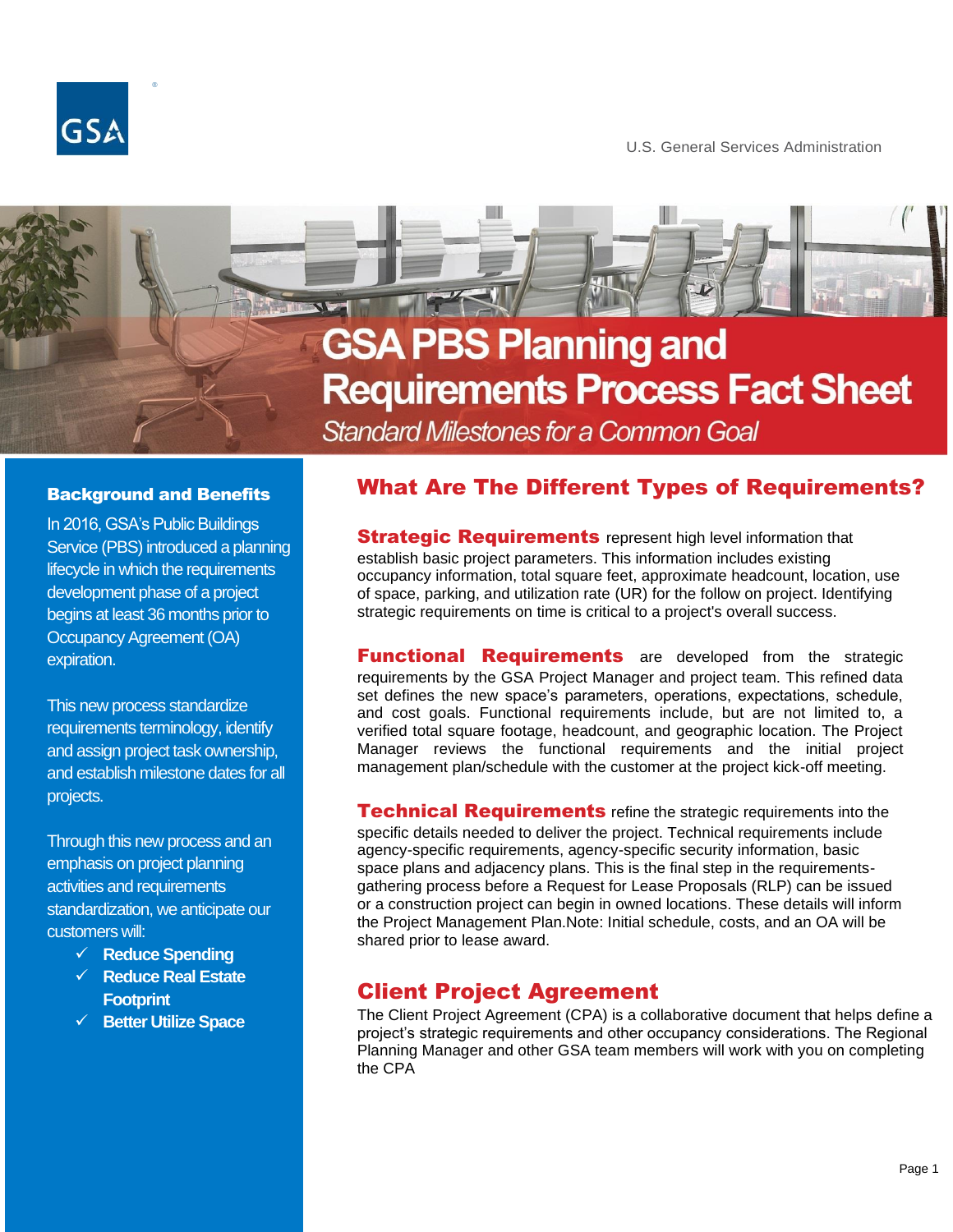

®

U.S. General Services Administration

# **GSA PBS Planning and Requirements Process Fact Sheet Standard Milestones for a Common Goal**

#### Background and Benefits

In 2016, GSA's Public Buildings Service (PBS) introduced a planning lifecycle in which the requirements development phase of a project begins at least 36 months prior to Occupancy Agreement (OA) expiration.

This new process standardize requirements terminology, identify and assign project task ownership, and establish milestone dates for all projects.

Through this new process and an emphasis on project planning activities and requirements standardization, we anticipate our customers will:

- ✓ **Reduce Spending**
- ✓ **Reduce Real Estate Footprint**
- ✓ **Better Utilize Space**

### What Are The Different Types of Requirements?

**Strategic Requirements** represent high level information that establish basic project parameters. This information includes existing occupancy information, total square feet, approximate headcount, location, use of space, parking, and utilization rate (UR) for the follow on project. Identifying strategic requirements on time is critical to a project's overall success.

**Functional Requirements** are developed from the strategic requirements by the GSA Project Manager and project team. This refined data set defines the new space's parameters, operations, expectations, schedule, and cost goals. Functional requirements include, but are not limited to, a verified total square footage, headcount, and geographic location. The Project Manager reviews the functional requirements and the initial project management plan/schedule with the customer at the project kick-off meeting.

**Technical Requirements** refine the strategic requirements into the specific details needed to deliver the project. Technical requirements include agency-specific requirements, agency-specific security information, basic space plans and adjacency plans. This is the final step in the requirementsgathering process before a Request for Lease Proposals (RLP) can be issued or a construction project can begin in owned locations. These details will inform the Project Management Plan.Note: Initial schedule, costs, and an OA will be shared prior to lease award.

### Client Project Agreement

Ĩ

The Client Project Agreement (CPA) is a collaborative document that helps define a project's strategic requirements and other occupancy considerations. The Regional Planning Manager and other GSA team members will work with you on completing the CPA